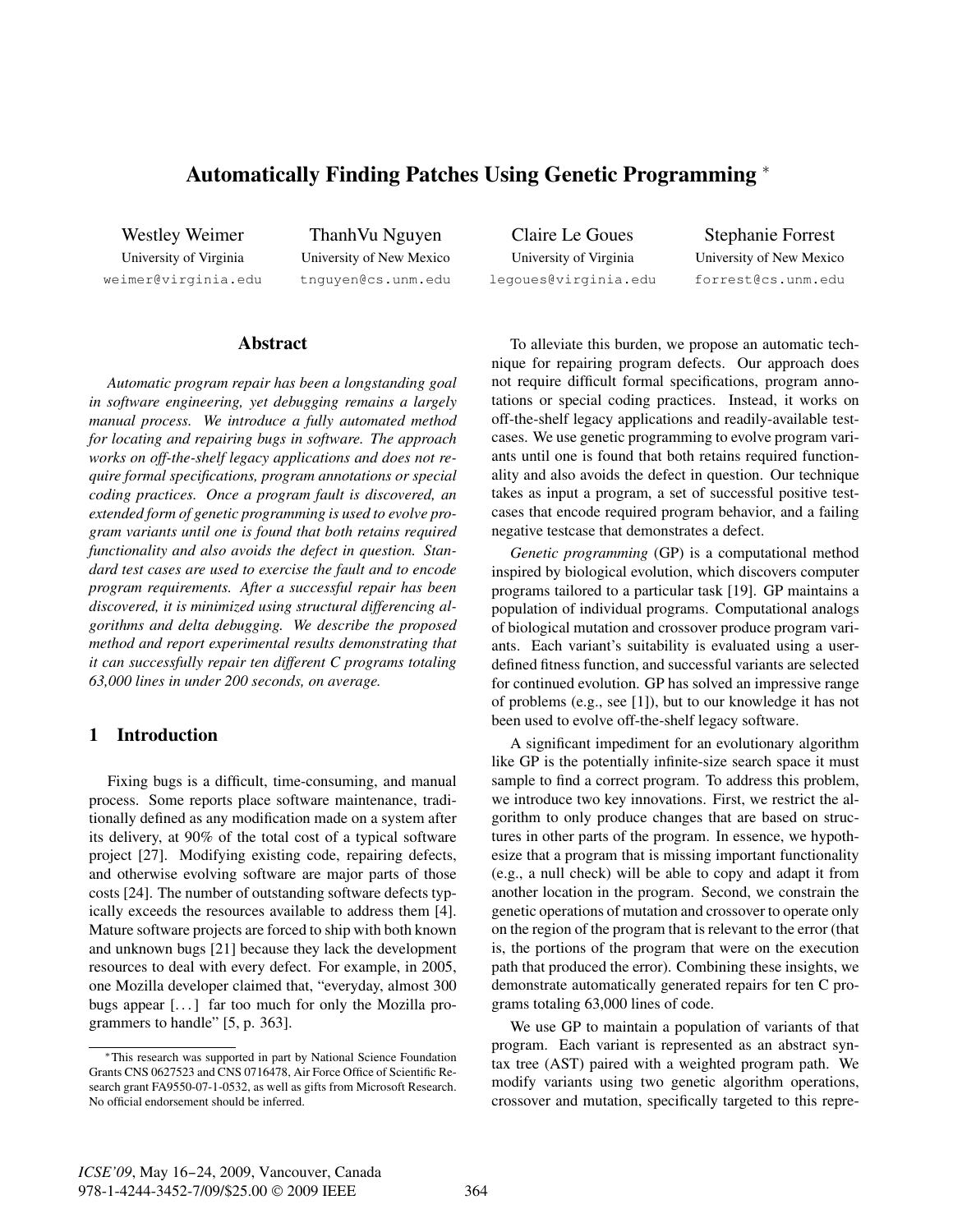# Automatically Finding Patches Using Genetic Programming <sup>∗</sup>

Westley Weimer University of Virginia weimer@virginia.edu

ThanhVu Nguyen University of New Mexico tnguyen@cs.unm.edu

Claire Le Goues University of Virginia legoues@virginia.edu

Stephanie Forrest University of New Mexico forrest@cs.unm.edu

## Abstract

*Automatic program repair has been a longstanding goal in software engineering, yet debugging remains a largely manual process. We introduce a fully automated method for locating and repairing bugs in software. The approach works on off-the-shelf legacy applications and does not require formal specifications, program annotations or special coding practices. Once a program fault is discovered, an extended form of genetic programming is used to evolve program variants until one is found that both retains required functionality and also avoids the defect in question. Standard test cases are used to exercise the fault and to encode program requirements. After a successful repair has been discovered, it is minimized using structural differencing algorithms and delta debugging. We describe the proposed method and report experimental results demonstrating that it can successfully repair ten different C programs totaling 63,000 lines in under 200 seconds, on average.*

# 1 Introduction

Fixing bugs is a difficult, time-consuming, and manual process. Some reports place software maintenance, traditionally defined as any modification made on a system after its delivery, at 90% of the total cost of a typical software project [27]. Modifying existing code, repairing defects, and otherwise evolving software are major parts of those costs [24]. The number of outstanding software defects typically exceeds the resources available to address them [4]. Mature software projects are forced to ship with both known and unknown bugs [21] because they lack the development resources to deal with every defect. For example, in 2005, one Mozilla developer claimed that, "everyday, almost 300 bugs appear  $[\dots]$  far too much for only the Mozilla programmers to handle" [5, p. 363].

To alleviate this burden, we propose an automatic technique for repairing program defects. Our approach does not require difficult formal specifications, program annotations or special coding practices. Instead, it works on off-the-shelf legacy applications and readily-available testcases. We use genetic programming to evolve program variants until one is found that both retains required functionality and also avoids the defect in question. Our technique takes as input a program, a set of successful positive testcases that encode required program behavior, and a failing negative testcase that demonstrates a defect.

*Genetic programming* (GP) is a computational method inspired by biological evolution, which discovers computer programs tailored to a particular task [19]. GP maintains a population of individual programs. Computational analogs of biological mutation and crossover produce program variants. Each variant's suitability is evaluated using a userdefined fitness function, and successful variants are selected for continued evolution. GP has solved an impressive range of problems (e.g., see [1]), but to our knowledge it has not been used to evolve off-the-shelf legacy software.

A significant impediment for an evolutionary algorithm like GP is the potentially infinite-size search space it must sample to find a correct program. To address this problem, we introduce two key innovations. First, we restrict the algorithm to only produce changes that are based on structures in other parts of the program. In essence, we hypothesize that a program that is missing important functionality (e.g., a null check) will be able to copy and adapt it from another location in the program. Second, we constrain the genetic operations of mutation and crossover to operate only on the region of the program that is relevant to the error (that is, the portions of the program that were on the execution path that produced the error). Combining these insights, we demonstrate automatically generated repairs for ten C programs totaling 63,000 lines of code.

We use GP to maintain a population of variants of that program. Each variant is represented as an abstract syntax tree (AST) paired with a weighted program path. We modify variants using two genetic algorithm operations, crossover and mutation, specifically targeted to this repre-

<sup>∗</sup>This research was supported in part by National Science Foundation Grants CNS 0627523 and CNS 0716478, Air Force Office of Scientific Research grant FA9550-07-1-0532, as well as gifts from Microsoft Research. No official endorsement should be inferred.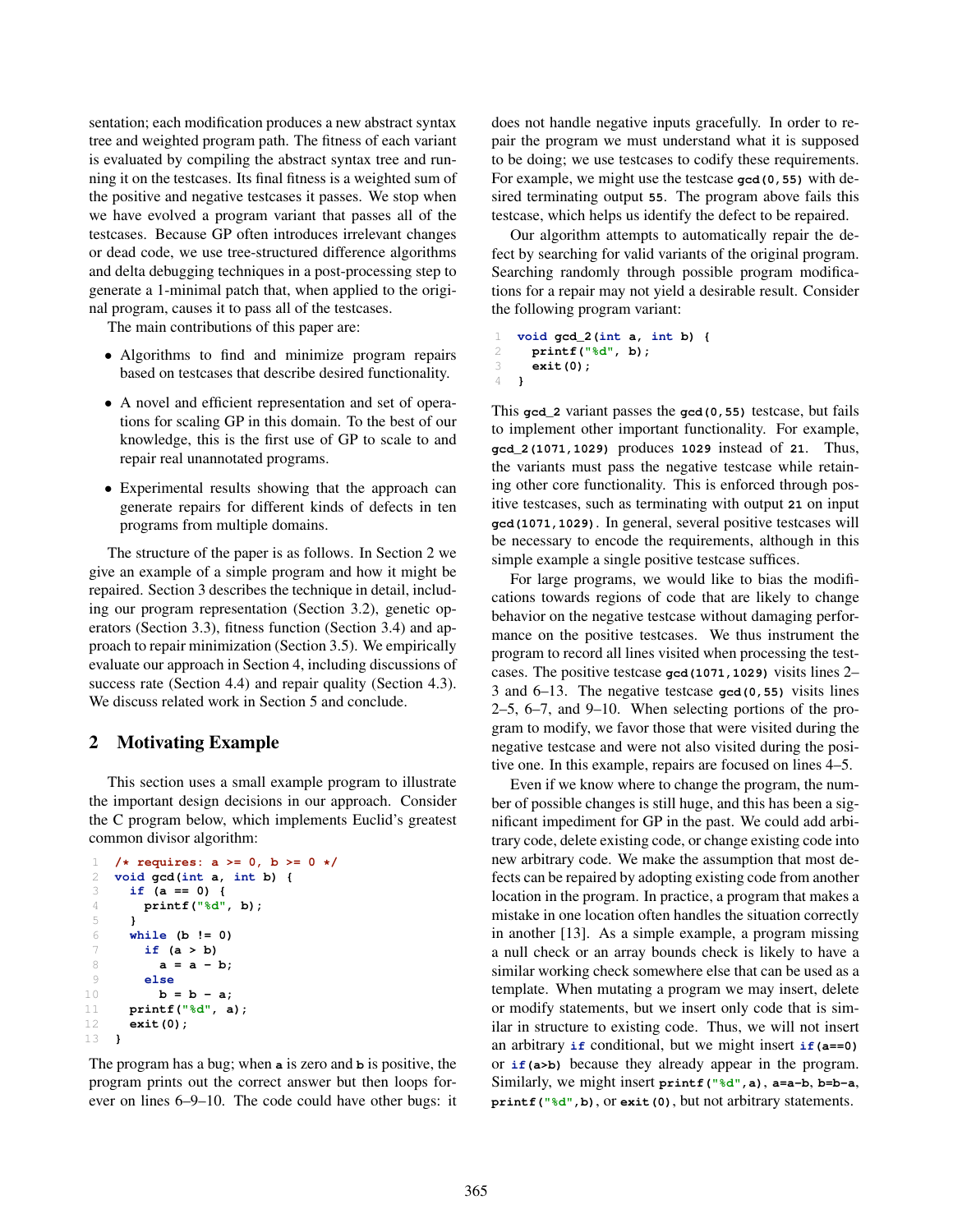sentation; each modification produces a new abstract syntax tree and weighted program path. The fitness of each variant is evaluated by compiling the abstract syntax tree and running it on the testcases. Its final fitness is a weighted sum of the positive and negative testcases it passes. We stop when we have evolved a program variant that passes all of the testcases. Because GP often introduces irrelevant changes or dead code, we use tree-structured difference algorithms and delta debugging techniques in a post-processing step to generate a 1-minimal patch that, when applied to the original program, causes it to pass all of the testcases.

The main contributions of this paper are:

- Algorithms to find and minimize program repairs based on testcases that describe desired functionality.
- A novel and efficient representation and set of operations for scaling GP in this domain. To the best of our knowledge, this is the first use of GP to scale to and repair real unannotated programs.
- Experimental results showing that the approach can generate repairs for different kinds of defects in ten programs from multiple domains.

The structure of the paper is as follows. In Section 2 we give an example of a simple program and how it might be repaired. Section 3 describes the technique in detail, including our program representation (Section 3.2), genetic operators (Section 3.3), fitness function (Section 3.4) and approach to repair minimization (Section 3.5). We empirically evaluate our approach in Section 4, including discussions of success rate (Section 4.4) and repair quality (Section 4.3). We discuss related work in Section 5 and conclude.

# 2 Motivating Example

This section uses a small example program to illustrate the important design decisions in our approach. Consider the C program below, which implements Euclid's greatest common divisor algorithm:

```
1 /* requires: a >= 0, b >= 0 */
2 void gcd(int a, int b) {
3 if (a == 0) {
4 printf("%d", b);
5 }
6 while (b != 0)
      7 if (a > b)
8 a = a - b;
9 else
10 b = b - a;
11 printf("%d", a);
12 exit(0);
13 }
```
The program has a bug; when **a** is zero and **b** is positive, the program prints out the correct answer but then loops forever on lines 6–9–10. The code could have other bugs: it does not handle negative inputs gracefully. In order to repair the program we must understand what it is supposed to be doing; we use testcases to codify these requirements. For example, we might use the testcase **gcd(0,55)** with desired terminating output **55**. The program above fails this testcase, which helps us identify the defect to be repaired.

Our algorithm attempts to automatically repair the defect by searching for valid variants of the original program. Searching randomly through possible program modifications for a repair may not yield a desirable result. Consider the following program variant:

```
1 void gcd_2(int a, int b) {
2 printf("%d", b);
     3 exit(0);
4 }
```
This **gcd\_2** variant passes the **gcd(0,55)** testcase, but fails to implement other important functionality. For example, **gcd\_2(1071,1029)** produces **1029** instead of **21**. Thus, the variants must pass the negative testcase while retaining other core functionality. This is enforced through positive testcases, such as terminating with output **21** on input **gcd(1071,1029)**. In general, several positive testcases will be necessary to encode the requirements, although in this simple example a single positive testcase suffices.

For large programs, we would like to bias the modifications towards regions of code that are likely to change behavior on the negative testcase without damaging performance on the positive testcases. We thus instrument the program to record all lines visited when processing the testcases. The positive testcase **gcd(1071,1029)** visits lines 2– 3 and 6–13. The negative testcase **gcd(0,55)** visits lines 2–5, 6–7, and 9–10. When selecting portions of the program to modify, we favor those that were visited during the negative testcase and were not also visited during the positive one. In this example, repairs are focused on lines 4–5.

Even if we know where to change the program, the number of possible changes is still huge, and this has been a significant impediment for GP in the past. We could add arbitrary code, delete existing code, or change existing code into new arbitrary code. We make the assumption that most defects can be repaired by adopting existing code from another location in the program. In practice, a program that makes a mistake in one location often handles the situation correctly in another [13]. As a simple example, a program missing a null check or an array bounds check is likely to have a similar working check somewhere else that can be used as a template. When mutating a program we may insert, delete or modify statements, but we insert only code that is similar in structure to existing code. Thus, we will not insert an arbitrary **if** conditional, but we might insert **if(a==0)** or **if(a>b)** because they already appear in the program. Similarly, we might insert **printf("%d",a)**, **a=a-b**, **b=b-a**, **printf("%d",b)**, or **exit(0)**, but not arbitrary statements.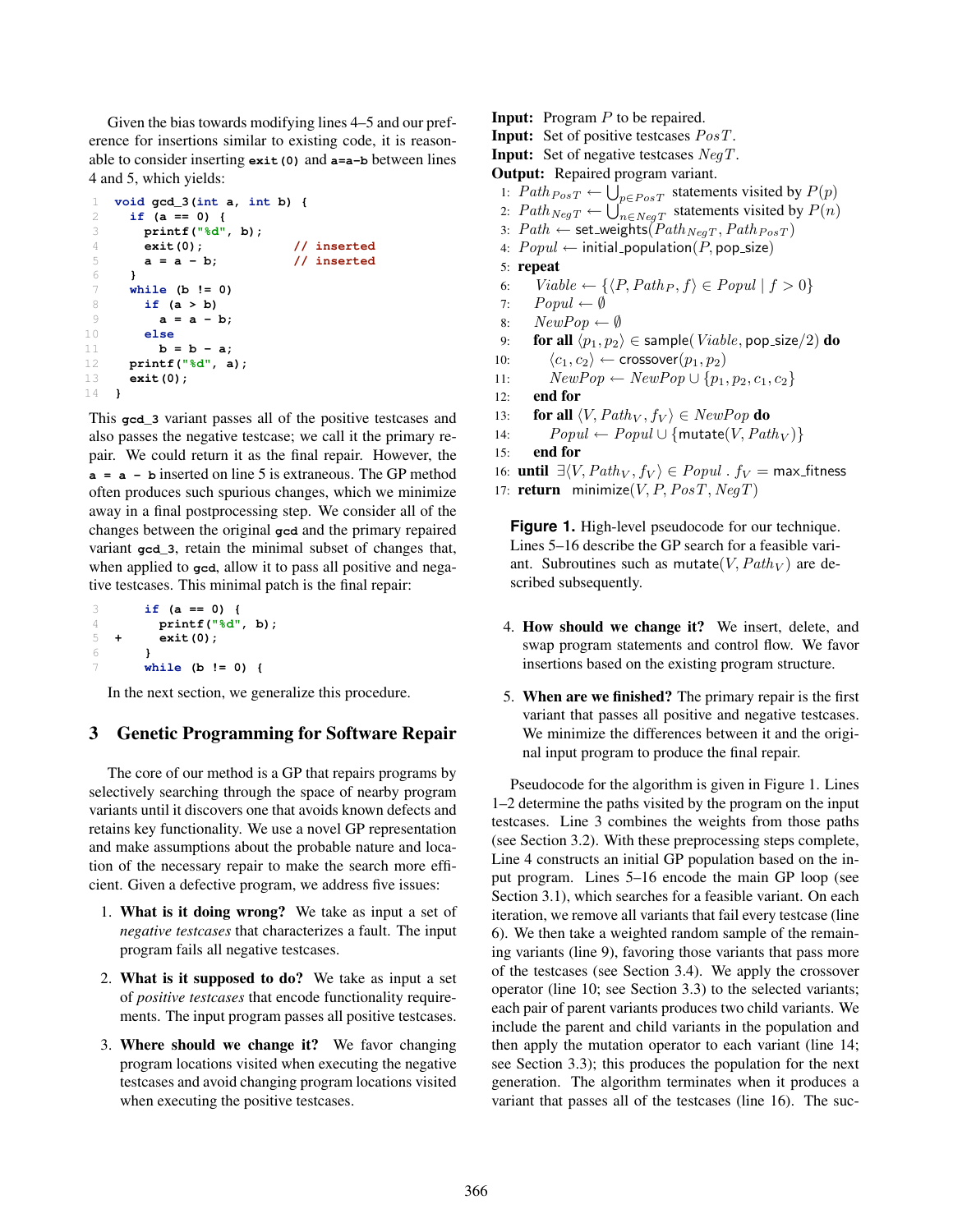Given the bias towards modifying lines 4–5 and our preference for insertions similar to existing code, it is reasonable to consider inserting **exit(0)** and **a=a-b** between lines 4 and 5, which yields:

```
1 void gcd_3(int a, int b) {
2 if (a == 0) {
3 printf("%d", b);
      4 exit(0); // inserted
5 a = a - b; // inserted
6 }
7 while (b != 0)
8 if (a > b)
9 a = a - b;
10 else
11 b = b - a;
12 printf("%d", a);
13 exit(0);
14 }
```
This **gcd\_3** variant passes all of the positive testcases and also passes the negative testcase; we call it the primary repair. We could return it as the final repair. However, the **a=a-b** inserted on line 5 is extraneous. The GP method often produces such spurious changes, which we minimize away in a final postprocessing step. We consider all of the changes between the original **gcd** and the primary repaired variant **gcd\_3**, retain the minimal subset of changes that, when applied to **gcd**, allow it to pass all positive and negative testcases. This minimal patch is the final repair:

```
3 if (a == 0) {
4 printf("%d", b);
5 + exit(0);
6 }
7 while (b != 0) {
```
In the next section, we generalize this procedure.

# 3 Genetic Programming for Software Repair

The core of our method is a GP that repairs programs by selectively searching through the space of nearby program variants until it discovers one that avoids known defects and retains key functionality. We use a novel GP representation and make assumptions about the probable nature and location of the necessary repair to make the search more efficient. Given a defective program, we address five issues:

- 1. What is it doing wrong? We take as input a set of *negative testcases* that characterizes a fault. The input program fails all negative testcases.
- 2. What is it supposed to do? We take as input a set of *positive testcases* that encode functionality requirements. The input program passes all positive testcases.
- 3. Where should we change it? We favor changing program locations visited when executing the negative testcases and avoid changing program locations visited when executing the positive testcases.
- Input: Program *P* to be repaired. Input: Set of positive testcases  $PosT$ . **Input:** Set of negative testcases NegT. Output: Repaired program variant. 1:  $Path_{PosT} \leftarrow \bigcup_{p \in PosT} statement$  statements visited by  $P(p)$ 2:  $Path_{NegT} \leftarrow \bigcup_{n \in NegT}^{PCT~out}$  statements visited by  $P(n)$ 3:  $Path \leftarrow$  set\_weights( $Path_{NegT}, Path_{PosT}$ ) 4:  $Popul \leftarrow$  initial\_population(P, pop\_size) 5: repeat 6:  $Viable \leftarrow {\langle P, Path_P, f \rangle \in Popul \mid f > 0}$ <br>7:  $Popul \leftarrow \emptyset$ 7:  $Popul \leftarrow \emptyset$ <br>8:  $NewPop \leftarrow$ 8:  $NewPop \leftarrow \emptyset$ <br>9. **for all**  $(n_1, n_2)$ 9: **for all**  $\langle p_1, p_2 \rangle \in$  sample(*Viable*, pop\_size/2) **do**<br>10:  $\langle c_1, c_2 \rangle \leftarrow$  crossover $(p_1, p_2)$ 10:  $\langle c_1, c_2 \rangle \leftarrow \text{crossover}(p_1, p_2)$ <br>11:  $NewPop \leftarrow NewPop \cup \{p_1, p_2\}$ 11:  $NewPop \leftarrow NewPop \cup \{p_1, p_2, c_1, c_2\}$ <br>12: **end for** end for 13: **for all**  $\langle V, Path_V, f_V \rangle \in NewPop$  **do**<br>14:  $Popul \leftarrow Popul \cup \{mutate(V, Pat) \}$
- 14:  $Popul \leftarrow Popul \cup \{mutate(V, Path_V)\}$ <br>15: **end for**
- end for
- 16: **until**  $\exists \langle V, Path_V, f_V \rangle \in Popul$  *.*  $f_V = \text{max\_fitness}$
- 17: **return** minimize $(V, P, PosT, NegT)$

**Figure 1.** High-level pseudocode for our technique. Lines 5–16 describe the GP search for a feasible variant. Subroutines such as mutate( $V$ ,  $Path_V$ ) are described subsequently.

- 4. How should we change it? We insert, delete, and swap program statements and control flow. We favor insertions based on the existing program structure.
- 5. When are we finished? The primary repair is the first variant that passes all positive and negative testcases. We minimize the differences between it and the original input program to produce the final repair.

Pseudocode for the algorithm is given in Figure 1. Lines 1–2 determine the paths visited by the program on the input testcases. Line 3 combines the weights from those paths (see Section 3.2). With these preprocessing steps complete, Line 4 constructs an initial GP population based on the input program. Lines 5–16 encode the main GP loop (see Section 3.1), which searches for a feasible variant. On each iteration, we remove all variants that fail every testcase (line 6). We then take a weighted random sample of the remaining variants (line 9), favoring those variants that pass more of the testcases (see Section 3.4). We apply the crossover operator (line 10; see Section 3.3) to the selected variants; each pair of parent variants produces two child variants. We include the parent and child variants in the population and then apply the mutation operator to each variant (line 14; see Section 3.3); this produces the population for the next generation. The algorithm terminates when it produces a variant that passes all of the testcases (line 16). The suc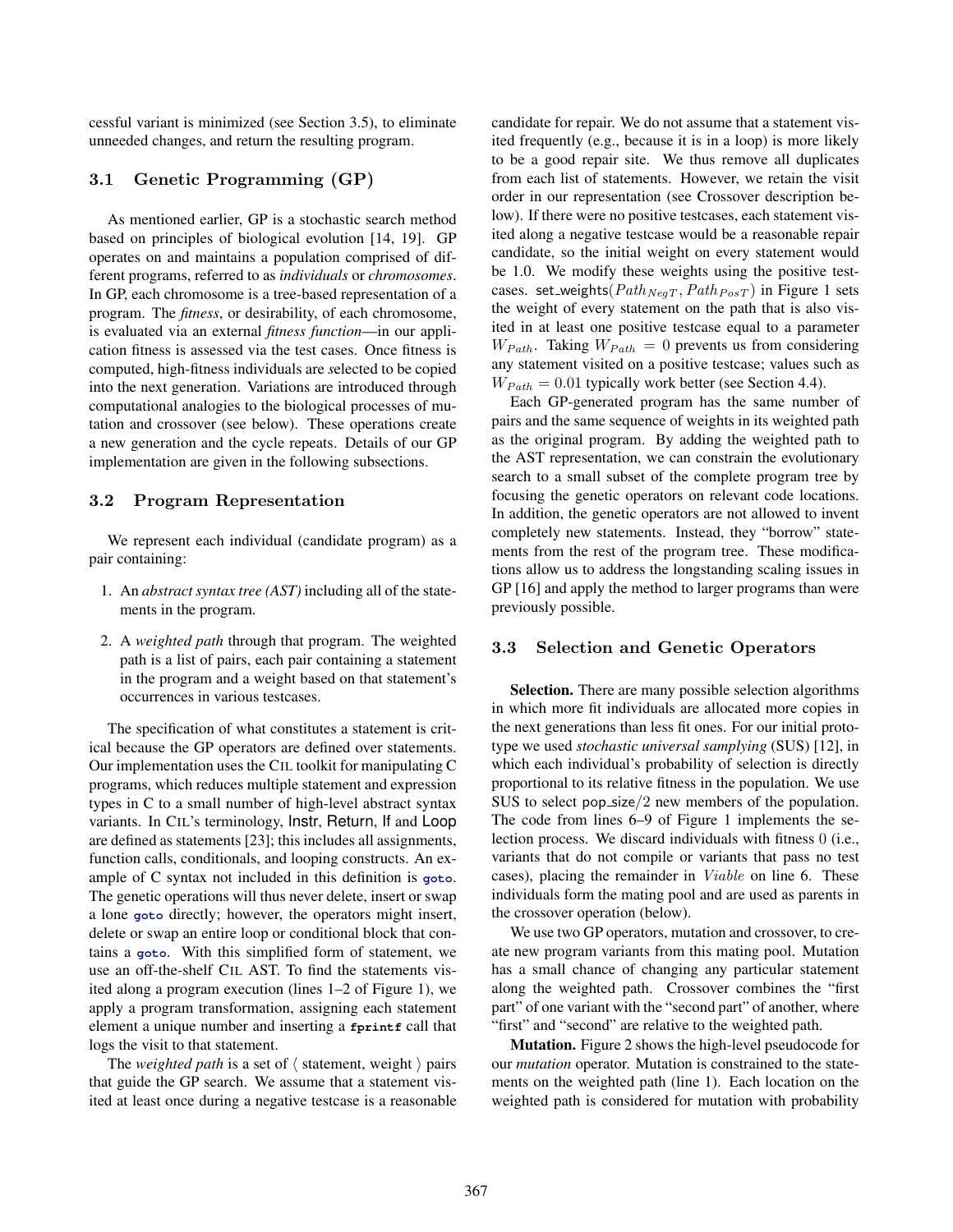cessful variant is minimized (see Section 3.5), to eliminate unneeded changes, and return the resulting program.

## 3.1 Genetic Programming (GP)

As mentioned earlier, GP is a stochastic search method based on principles of biological evolution [14, 19]. GP operates on and maintains a population comprised of different programs, referred to as *individuals* or *chromosomes*. In GP, each chromosome is a tree-based representation of a program. The *fitness*, or desirability, of each chromosome, is evaluated via an external *fitness function*—in our application fitness is assessed via the test cases. Once fitness is computed, high-fitness individuals are *s*elected to be copied into the next generation. Variations are introduced through computational analogies to the biological processes of mutation and crossover (see below). These operations create a new generation and the cycle repeats. Details of our GP implementation are given in the following subsections.

## 3.2 Program Representation

We represent each individual (candidate program) as a pair containing:

- 1. An *abstract syntax tree (AST)* including all of the statements in the program.
- 2. A *weighted path* through that program. The weighted path is a list of pairs, each pair containing a statement in the program and a weight based on that statement's occurrences in various testcases.

The specification of what constitutes a statement is critical because the GP operators are defined over statements. Our implementation uses the CIL toolkit for manipulating C programs, which reduces multiple statement and expression types in C to a small number of high-level abstract syntax variants. In CIL's terminology, Instr, Return, If and Loop are defined as statements [23]; this includes all assignments, function calls, conditionals, and looping constructs. An example of C syntax not included in this definition is **goto**. The genetic operations will thus never delete, insert or swap a lone **goto** directly; however, the operators might insert, delete or swap an entire loop or conditional block that contains a **goto**. With this simplified form of statement, we use an off-the-shelf CIL AST. To find the statements visited along a program execution (lines 1–2 of Figure 1), we apply a program transformation, assigning each statement element a unique number and inserting a **fprintf** call that logs the visit to that statement.

The *weighted path* is a set of  $\langle$  statement, weight  $\rangle$  pairs that guide the GP search. We assume that a statement visited at least once during a negative testcase is a reasonable candidate for repair. We do not assume that a statement visited frequently (e.g., because it is in a loop) is more likely to be a good repair site. We thus remove all duplicates from each list of statements. However, we retain the visit order in our representation (see Crossover description below). If there were no positive testcases, each statement visited along a negative testcase would be a reasonable repair candidate, so the initial weight on every statement would be 1.0. We modify these weights using the positive testcases. set\_weights( $Path_{NegT}$ ,  $Path_{PosT}$ ) in Figure 1 sets the weight of every statement on the path that is also visited in at least one positive testcase equal to a parameter  $W_{Path}$ . Taking  $W_{Path} = 0$  prevents us from considering any statement visited on a positive testcase; values such as *WPath* = 0*.*01 typically work better (see Section 4.4).

Each GP-generated program has the same number of pairs and the same sequence of weights in its weighted path as the original program. By adding the weighted path to the AST representation, we can constrain the evolutionary search to a small subset of the complete program tree by focusing the genetic operators on relevant code locations. In addition, the genetic operators are not allowed to invent completely new statements. Instead, they "borrow" statements from the rest of the program tree. These modifications allow us to address the longstanding scaling issues in GP [16] and apply the method to larger programs than were previously possible.

### 3.3 Selection and Genetic Operators

Selection. There are many possible selection algorithms in which more fit individuals are allocated more copies in the next generations than less fit ones. For our initial prototype we used *stochastic universal samplying* (SUS) [12], in which each individual's probability of selection is directly proportional to its relative fitness in the population. We use SUS to select pop size*/*2 new members of the population. The code from lines 6–9 of Figure 1 implements the selection process. We discard individuals with fitness 0 (i.e., variants that do not compile or variants that pass no test cases), placing the remainder in Viable on line 6. These individuals form the mating pool and are used as parents in the crossover operation (below).

We use two GP operators, mutation and crossover, to create new program variants from this mating pool. Mutation has a small chance of changing any particular statement along the weighted path. Crossover combines the "first part" of one variant with the "second part" of another, where "first" and "second" are relative to the weighted path.

Mutation. Figure 2 shows the high-level pseudocode for our *mutation* operator. Mutation is constrained to the statements on the weighted path (line 1). Each location on the weighted path is considered for mutation with probability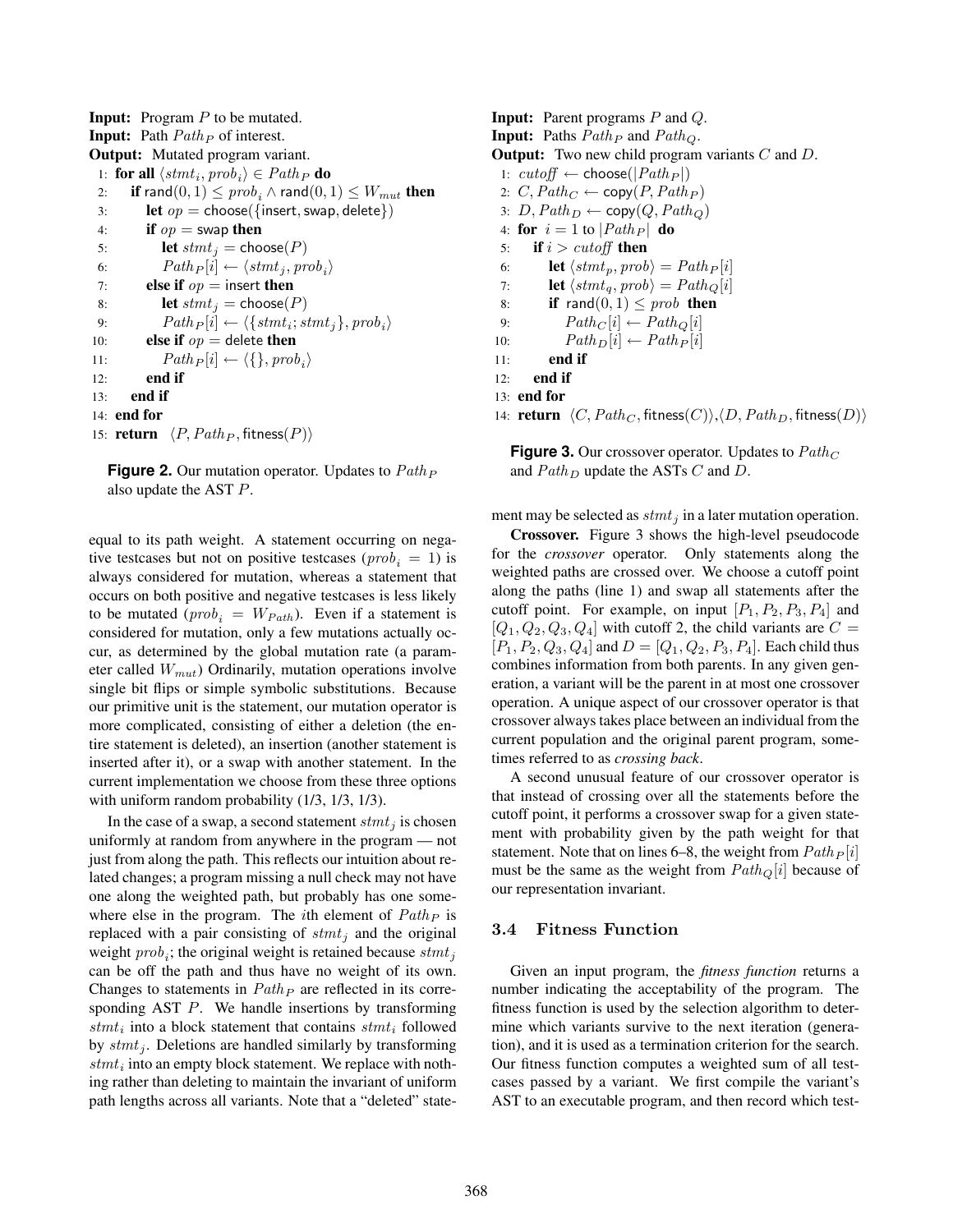Input: Program *P* to be mutated. Input: Path Path*<sup>P</sup>* of interest. Output: Mutated program variant. 1: **for all**  $\langle$ *stmt<sub>i</sub>, prob<sub>i</sub></sub>*  $\rangle \in Path_P$  *do<br>2: if rand* $(0, 1) \leq$  *<i>prob<sub>i</sub>*</sub>  $\wedge$  rand $(0, 1)$ 2: if rand $(0,1) \le prob_i \wedge \text{rand}(0,1) \le W_{mut}$  then<br>3: let  $op = \text{choose}$  {insert, swap, delete}) 3: **let**  $op = \text{choose}$  { insert, swap, delete})<br>4: **if**  $op = \text{swap}$  **then** if  $op =$  swap then 5: **let**  $stmt_j = \text{choose}(P)$ 6:  $Path_{P}[i] \leftarrow \langle \textit{stmt}_j, \textit{prob}_i \rangle$ 7: **else if**  $op$  = insert **then** 8: **let**  $stmt_i = \text{choose}(P)$ 9:  $Path_P[i] \leftarrow \langle \{stmt_i;stmt_j\}, prob_i \rangle$ <br>10: **else if**  $op =$  delete **then** else if  $op =$  delete then 11:  $Path_{P}[i] \leftarrow \langle \{\}, prob_{i} \rangle$ <br>12: **end if** end if 13: end if 14: end for 15: **return**  $\langle P, Path_P, fitness(P) \rangle$ 

| <b>Figure 2.</b> Our mutation operator. Updates to $PathF$ |  |
|------------------------------------------------------------|--|
| also update the AST $P$ .                                  |  |

equal to its path weight. A statement occurring on negative testcases but not on positive testcases ( $prob_i = 1$ ) is always considered for mutation, whereas a statement that occurs on both positive and negative testcases is less likely to be mutated ( $prob_i = W_{Path}$ ). Even if a statement is considered for mutation, only a few mutations actually occur, as determined by the global mutation rate (a parameter called *Wmut*) Ordinarily, mutation operations involve single bit flips or simple symbolic substitutions. Because our primitive unit is the statement, our mutation operator is more complicated, consisting of either a deletion (the entire statement is deleted), an insertion (another statement is inserted after it), or a swap with another statement. In the current implementation we choose from these three options with uniform random probability (1/3, 1/3, 1/3).

In the case of a swap, a second statement  $s$ tmt<sub>i</sub> is chosen uniformly at random from anywhere in the program — not just from along the path. This reflects our intuition about related changes; a program missing a null check may not have one along the weighted path, but probably has one somewhere else in the program. The *i*th element of Path*<sup>P</sup>* is replaced with a pair consisting of  $s$ tmt<sub>i</sub> and the original weight *prob<sub>i</sub>*; the original weight is retained because *stmt*<sub>*i*</sub> can be off the path and thus have no weight of its own. Changes to statements in Path*<sup>P</sup>* are reflected in its corresponding AST *P*. We handle insertions by transforming  $s t m t_i$  into a block statement that contains  $s t m t_i$  followed by stmt<sub>j</sub>. Deletions are handled similarly by transforming  $s t m t_i$  into an empty block statement. We replace with nothing rather than deleting to maintain the invariant of uniform path lengths across all variants. Note that a "deleted" stateInput: Parent programs *P* and *Q*. Input: Paths Path*<sup>P</sup>* and Path*Q*. Output: Two new child program variants *C* and *D*. 1:  $cutoff \leftarrow \text{choose} (Path_P)$ 2:  $C, Path_C \leftarrow \text{copy}(P, Path_P)$ 3:  $D$ ,  $Path_D \leftarrow copy(Q, Path_Q)$ 4: **for**  $i = 1$  to  $\left| \frac{Path_P}{} \right|$  **do**<br>5: **if**  $i > cutoff$  **then** if  $i > cutoff$  then 6: **let**  $\langle$ *stmt<sub>p</sub></sub>*,  $prob \rangle = Path_P[i]$ 7: **let**  $\langle \textit{stmt}_{q}, \textit{prob} \rangle = \textit{Path}_{Q}[i]$ <br>8: **if** rand(0, 1) < prob **then** 8: **if** rand $(0, 1) \le prob$  **then**<br>9:  $Path_C[i] \leftarrow Path_O[i]$ 9:  $Path_C[i] \leftarrow Path_Q[i]$ <br>10:  $Path_D[i] \leftarrow Path_P[i]$ 10:  $Path_D[i] \leftarrow Path_P[i]$ <br>11: **end if** end if 12: end if 13: end for 14: **return**  $\langle C, Path_C, fitness(C) \rangle$ ,  $\langle D, Path_D, fitness(D) \rangle$ 

**Figure 3.** Our crossover operator. Updates to Path*<sup>C</sup>* and Path*<sup>D</sup>* update the ASTs *C* and *D*.

ment may be selected as  $s$ tmt<sub>i</sub> in a later mutation operation.

Crossover. Figure 3 shows the high-level pseudocode for the *crossover* operator. Only statements along the weighted paths are crossed over. We choose a cutoff point along the paths (line 1) and swap all statements after the cutoff point. For example, on input  $[P_1, P_2, P_3, P_4]$  and  $[Q_1, Q_2, Q_3, Q_4]$  with cutoff 2, the child variants are  $C =$  $[P_1, P_2, Q_3, Q_4]$  and  $D = [Q_1, Q_2, P_3, P_4]$ . Each child thus combines information from both parents. In any given generation, a variant will be the parent in at most one crossover operation. A unique aspect of our crossover operator is that crossover always takes place between an individual from the current population and the original parent program, sometimes referred to as *crossing back*.

A second unusual feature of our crossover operator is that instead of crossing over all the statements before the cutoff point, it performs a crossover swap for a given statement with probability given by the path weight for that statement. Note that on lines 6–8, the weight from  $Path_{P}[i]$ must be the same as the weight from Path*Q*[*i*] because of our representation invariant.

#### 3.4 Fitness Function

Given an input program, the *fitness function* returns a number indicating the acceptability of the program. The fitness function is used by the selection algorithm to determine which variants survive to the next iteration (generation), and it is used as a termination criterion for the search. Our fitness function computes a weighted sum of all testcases passed by a variant. We first compile the variant's AST to an executable program, and then record which test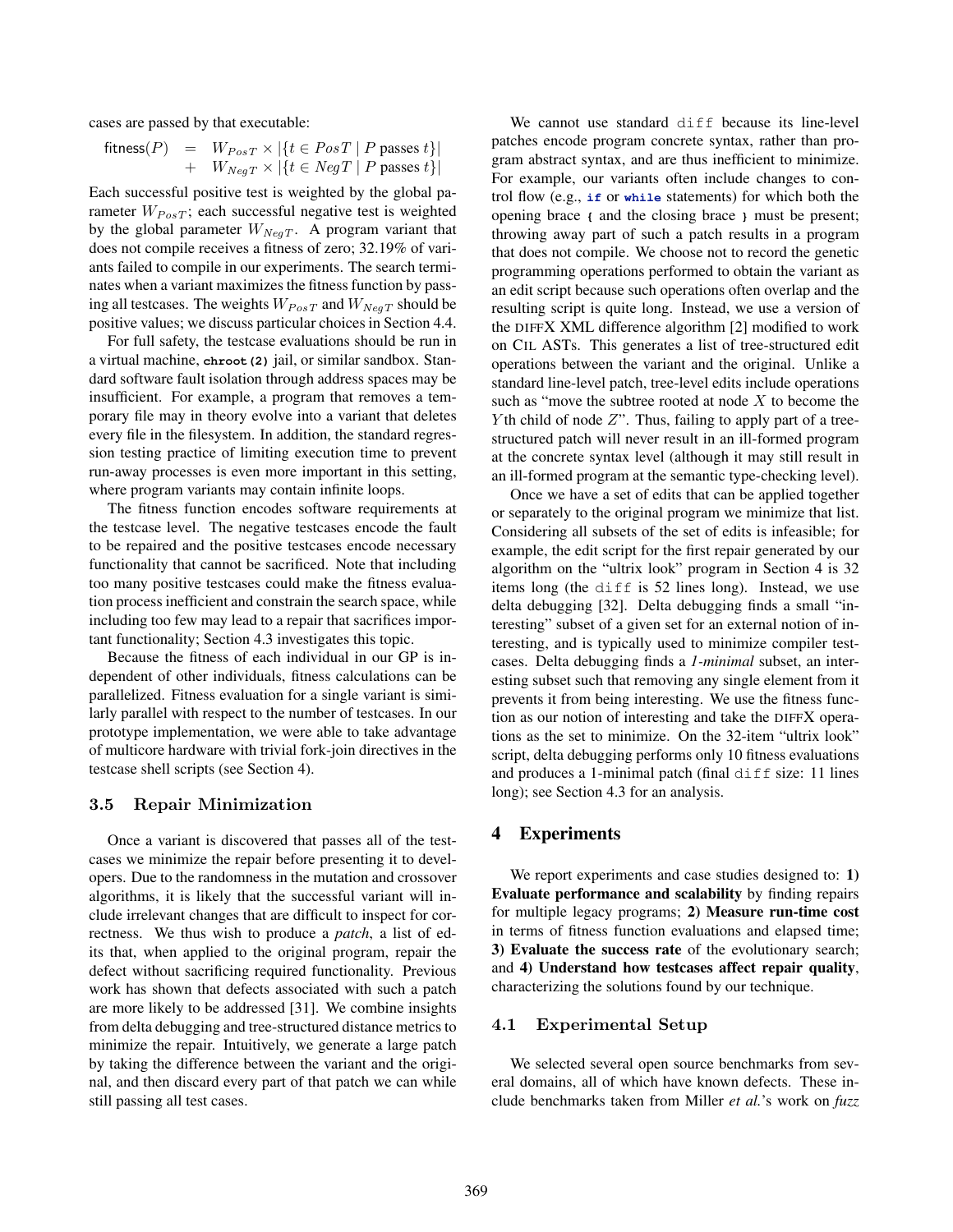cases are passed by that executable:

$$
fitness(P) = W_{PosT} \times |\{t \in PosT \mid P \text{ passes } t\}|
$$
  
+ 
$$
W_{NegT} \times |\{t \in NegT \mid P \text{ passes } t\}|
$$

Each successful positive test is weighted by the global parameter  $W_{PosT}$ ; each successful negative test is weighted by the global parameter *WNegT* . A program variant that does not compile receives a fitness of zero; 32.19% of variants failed to compile in our experiments. The search terminates when a variant maximizes the fitness function by passing all testcases. The weights  $W_{PosT}$  and  $W_{NegT}$  should be positive values; we discuss particular choices in Section 4.4.

For full safety, the testcase evaluations should be run in a virtual machine, **chroot(2)** jail, or similar sandbox. Standard software fault isolation through address spaces may be insufficient. For example, a program that removes a temporary file may in theory evolve into a variant that deletes every file in the filesystem. In addition, the standard regression testing practice of limiting execution time to prevent run-away processes is even more important in this setting, where program variants may contain infinite loops.

The fitness function encodes software requirements at the testcase level. The negative testcases encode the fault to be repaired and the positive testcases encode necessary functionality that cannot be sacrificed. Note that including too many positive testcases could make the fitness evaluation process inefficient and constrain the search space, while including too few may lead to a repair that sacrifices important functionality; Section 4.3 investigates this topic.

Because the fitness of each individual in our GP is independent of other individuals, fitness calculations can be parallelized. Fitness evaluation for a single variant is similarly parallel with respect to the number of testcases. In our prototype implementation, we were able to take advantage of multicore hardware with trivial fork-join directives in the testcase shell scripts (see Section 4).

## 3.5 Repair Minimization

Once a variant is discovered that passes all of the testcases we minimize the repair before presenting it to developers. Due to the randomness in the mutation and crossover algorithms, it is likely that the successful variant will include irrelevant changes that are difficult to inspect for correctness. We thus wish to produce a *patch*, a list of edits that, when applied to the original program, repair the defect without sacrificing required functionality. Previous work has shown that defects associated with such a patch are more likely to be addressed [31]. We combine insights from delta debugging and tree-structured distance metrics to minimize the repair. Intuitively, we generate a large patch by taking the difference between the variant and the original, and then discard every part of that patch we can while still passing all test cases.

We cannot use standard diff because its line-level patches encode program concrete syntax, rather than program abstract syntax, and are thus inefficient to minimize. For example, our variants often include changes to control flow (e.g., **if** or **while** statements) for which both the opening brace **{** and the closing brace **}** must be present; throwing away part of such a patch results in a program that does not compile. We choose not to record the genetic programming operations performed to obtain the variant as an edit script because such operations often overlap and the resulting script is quite long. Instead, we use a version of the DIFFX XML difference algorithm [2] modified to work on CIL ASTs. This generates a list of tree-structured edit operations between the variant and the original. Unlike a standard line-level patch, tree-level edits include operations such as "move the subtree rooted at node *X* to become the *Y* th child of node *Z*". Thus, failing to apply part of a treestructured patch will never result in an ill-formed program at the concrete syntax level (although it may still result in an ill-formed program at the semantic type-checking level).

Once we have a set of edits that can be applied together or separately to the original program we minimize that list. Considering all subsets of the set of edits is infeasible; for example, the edit script for the first repair generated by our algorithm on the "ultrix look" program in Section 4 is 32 items long (the diff is 52 lines long). Instead, we use delta debugging [32]. Delta debugging finds a small "interesting" subset of a given set for an external notion of interesting, and is typically used to minimize compiler testcases. Delta debugging finds a *1-minimal* subset, an interesting subset such that removing any single element from it prevents it from being interesting. We use the fitness function as our notion of interesting and take the DIFFX operations as the set to minimize. On the 32-item "ultrix look" script, delta debugging performs only 10 fitness evaluations and produces a 1-minimal patch (final diff size: 11 lines long); see Section 4.3 for an analysis.

## 4 Experiments

We report experiments and case studies designed to: 1) Evaluate performance and scalability by finding repairs for multiple legacy programs; 2) Measure run-time cost in terms of fitness function evaluations and elapsed time; 3) Evaluate the success rate of the evolutionary search; and 4) Understand how testcases affect repair quality, characterizing the solutions found by our technique.

#### 4.1 Experimental Setup

We selected several open source benchmarks from several domains, all of which have known defects. These include benchmarks taken from Miller *et al.*'s work on *fuzz*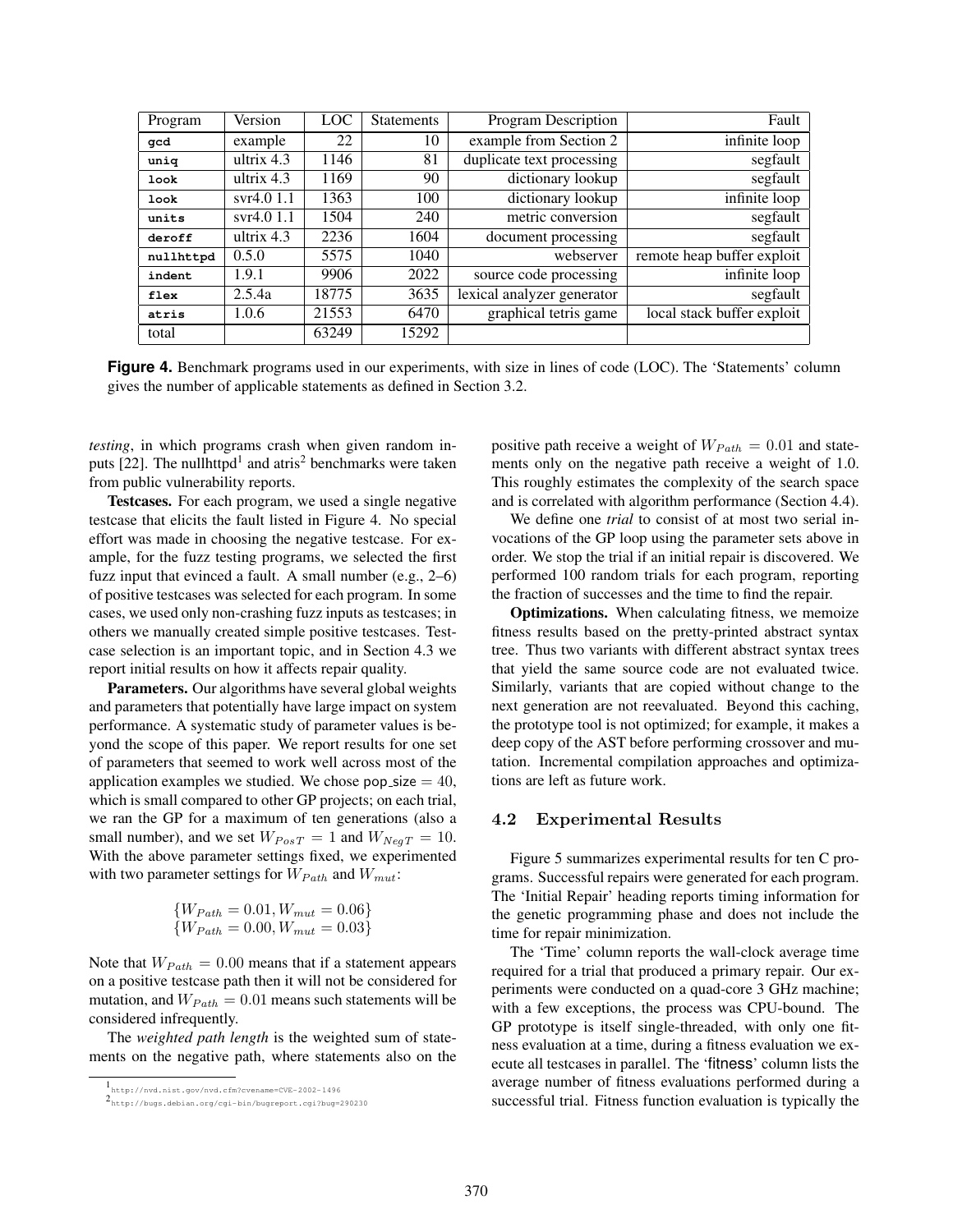| Program   | Version      | LOC   | <b>Statements</b> | Program Description        | Fault                      |  |
|-----------|--------------|-------|-------------------|----------------------------|----------------------------|--|
| qcd       | example      | 22    | 10                | example from Section 2     | infinite loop              |  |
| uniq      | ultrix $4.3$ | 1146  | 81                | duplicate text processing  | segfault                   |  |
| look      | ultrix $4.3$ | 1169  | 90                | dictionary lookup          | segfault                   |  |
| look      | svr4.01.1    | 1363  | 100               | dictionary lookup          | infinite loop              |  |
| units     | svr4.01.1    | 1504  | 240               | metric conversion          | segfault                   |  |
| deroff    | ultrix $4.3$ | 2236  | 1604              | document processing        | segfault                   |  |
| nullhttpd | 0.5.0        | 5575  | 1040              | webserver                  | remote heap buffer exploit |  |
| indent    | 1.9.1        | 9906  | 2022              | source code processing     | infinite loop              |  |
| flex      | 2.5.4a       | 18775 | 3635              | lexical analyzer generator | segfault                   |  |
| atris     | 1.0.6        | 21553 | 6470              | graphical tetris game      | local stack buffer exploit |  |
| total     |              | 63249 | 15292             |                            |                            |  |

**Figure 4.** Benchmark programs used in our experiments, with size in lines of code (LOC). The 'Statements' column gives the number of applicable statements as defined in Section 3.2.

*testing*, in which programs crash when given random inputs  $[22]$ . The nullhttpd<sup>1</sup> and atris<sup>2</sup> benchmarks were taken from public vulnerability reports.

Testcases. For each program, we used a single negative testcase that elicits the fault listed in Figure 4. No special effort was made in choosing the negative testcase. For example, for the fuzz testing programs, we selected the first fuzz input that evinced a fault. A small number (e.g., 2–6) of positive testcases was selected for each program. In some cases, we used only non-crashing fuzz inputs as testcases; in others we manually created simple positive testcases. Testcase selection is an important topic, and in Section 4.3 we report initial results on how it affects repair quality.

Parameters. Our algorithms have several global weights and parameters that potentially have large impact on system performance. A systematic study of parameter values is beyond the scope of this paper. We report results for one set of parameters that seemed to work well across most of the application examples we studied. We chose pop size  $= 40$ , which is small compared to other GP projects; on each trial, we ran the GP for a maximum of ten generations (also a small number), and we set  $W_{PosT} = 1$  and  $W_{NegT} = 10$ . With the above parameter settings fixed, we experimented with two parameter settings for *WPath* and *Wmut*:

$$
{\begin{aligned}\n\{W_{Path} = 0.01, W_{mut} = 0.06\} \\
\{W_{Path} = 0.00, W_{mut} = 0.03\}\n\end{aligned}}
$$

Note that  $W_{Path} = 0.00$  means that if a statement appears on a positive testcase path then it will not be considered for mutation, and  $W_{Path} = 0.01$  means such statements will be considered infrequently.

The *weighted path length* is the weighted sum of statements on the negative path, where statements also on the positive path receive a weight of  $W_{Path} = 0.01$  and statements only on the negative path receive a weight of 1.0. This roughly estimates the complexity of the search space and is correlated with algorithm performance (Section 4.4).

We define one *trial* to consist of at most two serial invocations of the GP loop using the parameter sets above in order. We stop the trial if an initial repair is discovered. We performed 100 random trials for each program, reporting the fraction of successes and the time to find the repair.

Optimizations. When calculating fitness, we memoize fitness results based on the pretty-printed abstract syntax tree. Thus two variants with different abstract syntax trees that yield the same source code are not evaluated twice. Similarly, variants that are copied without change to the next generation are not reevaluated. Beyond this caching, the prototype tool is not optimized; for example, it makes a deep copy of the AST before performing crossover and mutation. Incremental compilation approaches and optimizations are left as future work.

#### 4.2 Experimental Results

Figure 5 summarizes experimental results for ten C programs. Successful repairs were generated for each program. The 'Initial Repair' heading reports timing information for the genetic programming phase and does not include the time for repair minimization.

The 'Time' column reports the wall-clock average time required for a trial that produced a primary repair. Our experiments were conducted on a quad-core 3 GHz machine; with a few exceptions, the process was CPU-bound. The GP prototype is itself single-threaded, with only one fitness evaluation at a time, during a fitness evaluation we execute all testcases in parallel. The 'fitness' column lists the average number of fitness evaluations performed during a successful trial. Fitness function evaluation is typically the

<sup>1</sup>http://nvd.nist.gov/nvd.cfm?cvename=CVE-2002-1496

<sup>2</sup>http://bugs.debian.org/cgi-bin/bugreport.cgi?bug=290230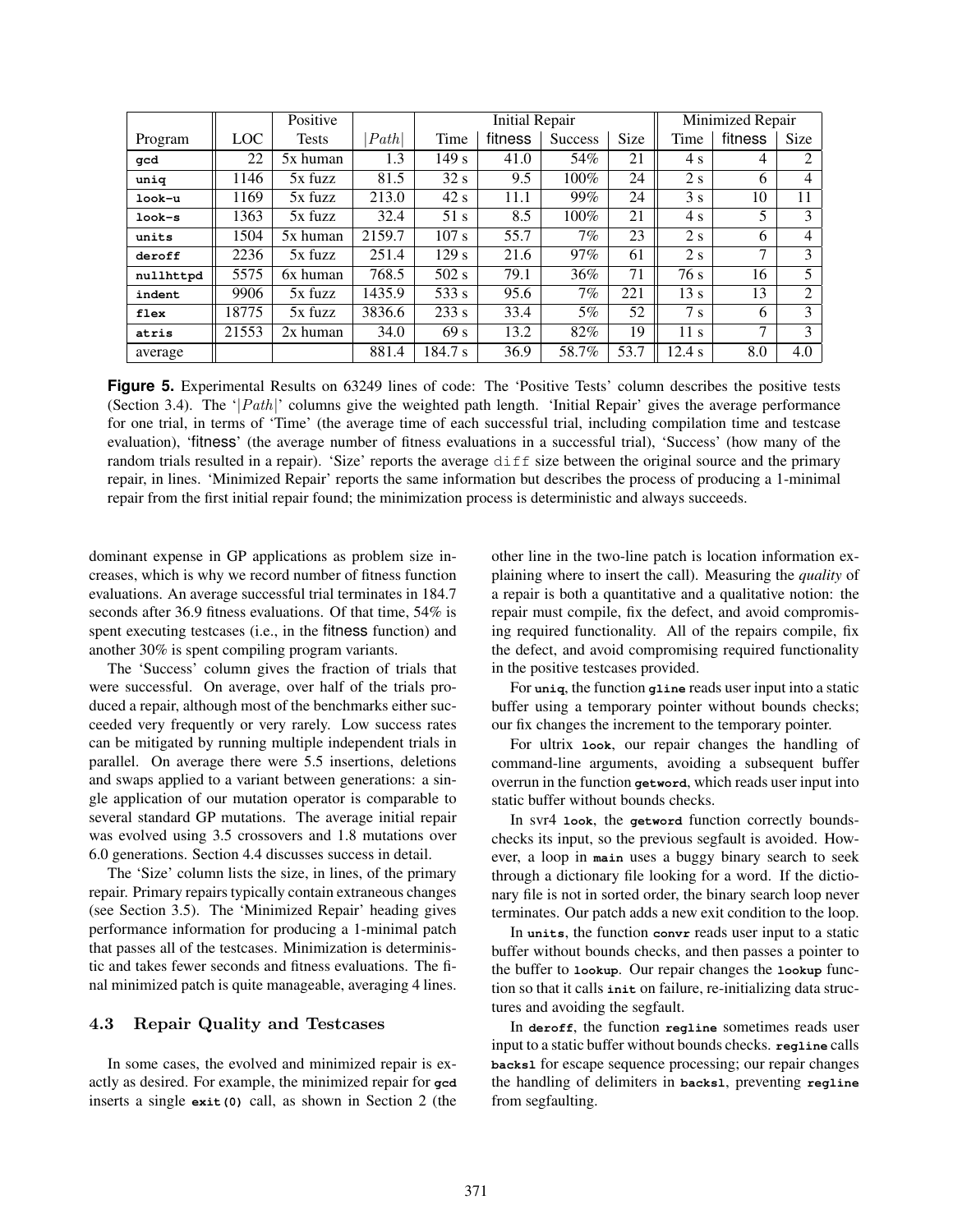|           |       | Positive     |        | <b>Initial Repair</b> |         |                |      | Minimized Repair |         |                |  |
|-----------|-------|--------------|--------|-----------------------|---------|----------------|------|------------------|---------|----------------|--|
| Program   | LOC.  | <b>Tests</b> | Path   | Time                  | fitness | <b>Success</b> | Size | Time             | fitness | <b>Size</b>    |  |
| qcd       | 22    | 5x human     | 1.3    | 149s                  | 41.0    | 54%            | 21   | 4 s              | 4       | $\mathfrak{D}$ |  |
| uniq      | 1146  | 5x fuzz      | 81.5   | 32 s                  | 9.5     | 100%           | 24   | 2s               | 6       | 4              |  |
| look-u    | 1169  | 5x fuzz      | 213.0  | 42s                   | 11.1    | 99%            | 24   | 3s               | 10      | 11             |  |
| look-s    | 1363  | $5x$ fuzz    | 32.4   | 51 s                  | 8.5     | 100%           | 21   | 4 s              | 5       | 3              |  |
| units     | 1504  | 5x human     | 2159.7 | 107 s                 | 55.7    | $7\%$          | 23   | 2s               | 6       | 4              |  |
| deroff    | 2236  | $5x$ fuzz    | 251.4  | 129s                  | 21.6    | 97%            | 61   | 2s               | 7       | 3              |  |
| nullhttpd | 5575  | 6x human     | 768.5  | $502$ s               | 79.1    | 36%            | 71   | 76 s             | 16      | 5              |  |
| indent    | 9906  | 5x fuzz      | 1435.9 | 533 s                 | 95.6    | $7\%$          | 221  | 13 s             | 13      | $\overline{2}$ |  |
| flex      | 18775 | 5x fuzz      | 3836.6 | 233 s                 | 33.4    | 5%             | 52   | 7 <sub>s</sub>   | 6       | 3              |  |
| atris     | 21553 | 2x human     | 34.0   | 69 <sub>s</sub>       | 13.2    | 82%            | 19   | 11 <sub>s</sub>  | 7       | 3              |  |
| average   |       |              | 881.4  | 184.7 s               | 36.9    | 58.7%          | 53.7 | 12.4 s           | 8.0     | 4.0            |  |

**Figure 5.** Experimental Results on 63249 lines of code: The 'Positive Tests' column describes the positive tests (Section 3.4). The ' $|Path|$ ' columns give the weighted path length. 'Initial Repair' gives the average performance for one trial, in terms of 'Time' (the average time of each successful trial, including compilation time and testcase evaluation), 'fitness' (the average number of fitness evaluations in a successful trial), 'Success' (how many of the random trials resulted in a repair). 'Size' reports the average diff size between the original source and the primary repair, in lines. 'Minimized Repair' reports the same information but describes the process of producing a 1-minimal repair from the first initial repair found; the minimization process is deterministic and always succeeds.

dominant expense in GP applications as problem size increases, which is why we record number of fitness function evaluations. An average successful trial terminates in 184.7 seconds after 36.9 fitness evaluations. Of that time, 54% is spent executing testcases (i.e., in the fitness function) and another 30% is spent compiling program variants.

The 'Success' column gives the fraction of trials that were successful. On average, over half of the trials produced a repair, although most of the benchmarks either succeeded very frequently or very rarely. Low success rates can be mitigated by running multiple independent trials in parallel. On average there were 5.5 insertions, deletions and swaps applied to a variant between generations: a single application of our mutation operator is comparable to several standard GP mutations. The average initial repair was evolved using 3.5 crossovers and 1.8 mutations over 6.0 generations. Section 4.4 discusses success in detail.

The 'Size' column lists the size, in lines, of the primary repair. Primary repairs typically contain extraneous changes (see Section 3.5). The 'Minimized Repair' heading gives performance information for producing a 1-minimal patch that passes all of the testcases. Minimization is deterministic and takes fewer seconds and fitness evaluations. The final minimized patch is quite manageable, averaging 4 lines.

## 4.3 Repair Quality and Testcases

In some cases, the evolved and minimized repair is exactly as desired. For example, the minimized repair for **gcd** inserts a single **exit(0)** call, as shown in Section 2 (the other line in the two-line patch is location information explaining where to insert the call). Measuring the *quality* of a repair is both a quantitative and a qualitative notion: the repair must compile, fix the defect, and avoid compromising required functionality. All of the repairs compile, fix the defect, and avoid compromising required functionality in the positive testcases provided.

For **uniq**, the function **gline** reads user input into a static buffer using a temporary pointer without bounds checks; our fix changes the increment to the temporary pointer.

For ultrix **look**, our repair changes the handling of command-line arguments, avoiding a subsequent buffer overrun in the function **getword**, which reads user input into static buffer without bounds checks.

In svr4 **look**, the **getword** function correctly boundschecks its input, so the previous segfault is avoided. However, a loop in **main** uses a buggy binary search to seek through a dictionary file looking for a word. If the dictionary file is not in sorted order, the binary search loop never terminates. Our patch adds a new exit condition to the loop.

In **units**, the function **convr** reads user input to a static buffer without bounds checks, and then passes a pointer to the buffer to **lookup**. Our repair changes the **lookup** function so that it calls **init** on failure, re-initializing data structures and avoiding the segfault.

In **deroff**, the function **regline** sometimes reads user input to a static buffer without bounds checks. **regline** calls **backsl** for escape sequence processing; our repair changes the handling of delimiters in **backsl**, preventing **regline** from segfaulting.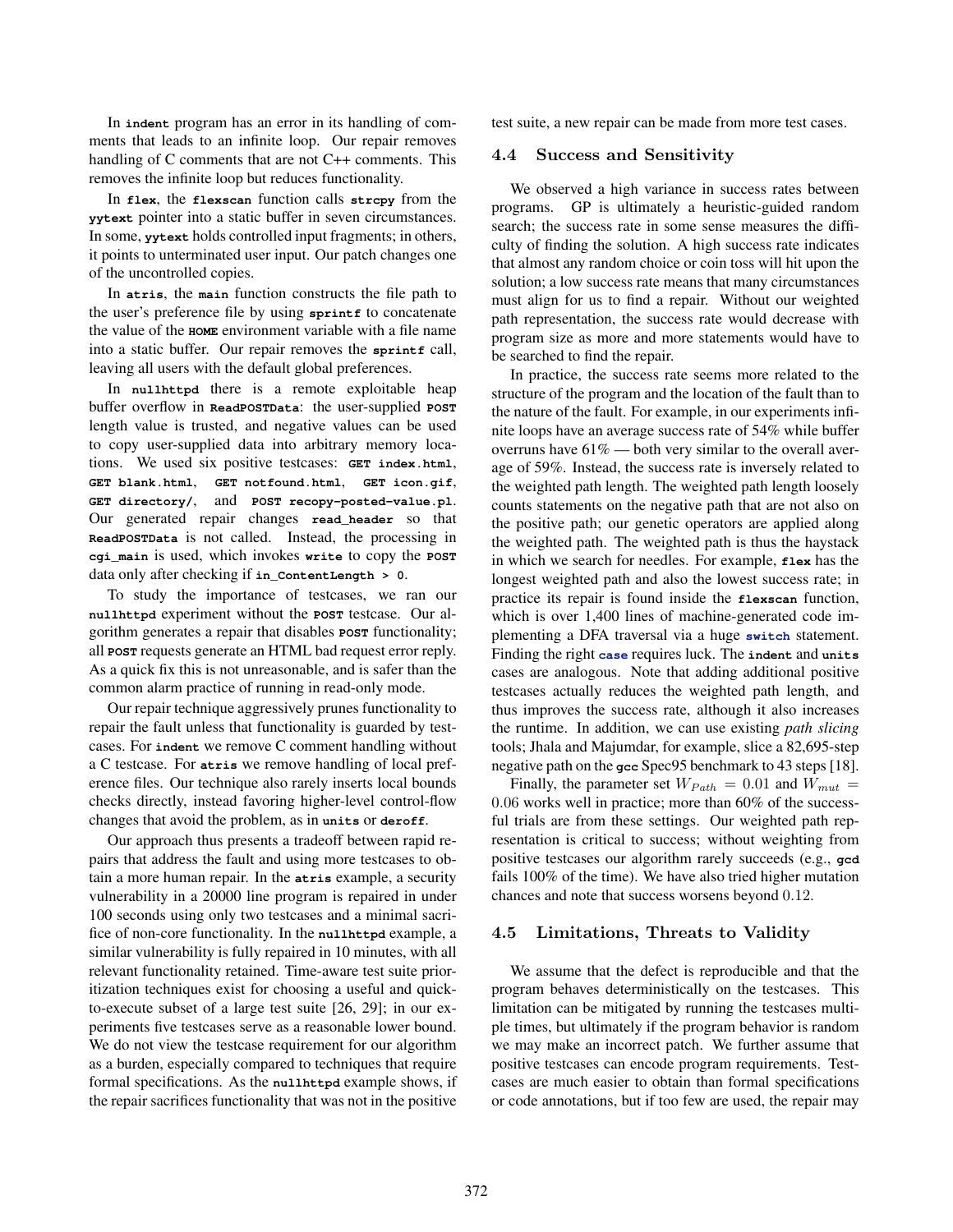In **indent** program has an error in its handling of comments that leads to an infinite loop. Our repair removes handling of C comments that are not C++ comments. This removes the infinite loop but reduces functionality.

In **flex**, the **flexscan** function calls **strcpy** from the **yytext** pointer into a static buffer in seven circumstances. In some, **yytext** holds controlled input fragments; in others, it points to unterminated user input. Our patch changes one of the uncontrolled copies.

In **atris**, the **main** function constructs the file path to the user's preference file by using **sprintf** to concatenate the value of the **HOME** environment variable with a file name into a static buffer. Our repair removes the **sprintf** call, leaving all users with the default global preferences.

In **nullhttpd** there is a remote exploitable heap buffer overflow in **ReadPOSTData**: the user-supplied **POST** length value is trusted, and negative values can be used to copy user-supplied data into arbitrary memory locations. We used six positive testcases: **GET index.html**, **GET blank.html**, **GET notfound.html**, **GET icon.gif**, **GET directory/**, and **POST recopy-posted-value.pl**. Our generated repair changes **read\_header** so that **ReadPOSTData** is not called. Instead, the processing in **cgi\_main** is used, which invokes **write** to copy the **POST** data only after checking if **in\_ContentLength > 0**.

To study the importance of testcases, we ran our **nullhttpd** experiment without the **POST** testcase. Our algorithm generates a repair that disables **POST** functionality; all **POST** requests generate an HTML bad request error reply. As a quick fix this is not unreasonable, and is safer than the common alarm practice of running in read-only mode.

Our repair technique aggressively prunes functionality to repair the fault unless that functionality is guarded by testcases. For **indent** we remove C comment handling without a C testcase. For **atris** we remove handling of local preference files. Our technique also rarely inserts local bounds checks directly, instead favoring higher-level control-flow changes that avoid the problem, as in **units** or **deroff**.

Our approach thus presents a tradeoff between rapid repairs that address the fault and using more testcases to obtain a more human repair. In the **atris** example, a security vulnerability in a 20000 line program is repaired in under 100 seconds using only two testcases and a minimal sacrifice of non-core functionality. In the **nullhttpd** example, a similar vulnerability is fully repaired in 10 minutes, with all relevant functionality retained. Time-aware test suite prioritization techniques exist for choosing a useful and quickto-execute subset of a large test suite [26, 29]; in our experiments five testcases serve as a reasonable lower bound. We do not view the testcase requirement for our algorithm as a burden, especially compared to techniques that require formal specifications. As the **nullhttpd** example shows, if the repair sacrifices functionality that was not in the positive test suite, a new repair can be made from more test cases.

#### 4.4 Success and Sensitivity

We observed a high variance in success rates between programs. GP is ultimately a heuristic-guided random search; the success rate in some sense measures the difficulty of finding the solution. A high success rate indicates that almost any random choice or coin toss will hit upon the solution; a low success rate means that many circumstances must align for us to find a repair. Without our weighted path representation, the success rate would decrease with program size as more and more statements would have to be searched to find the repair.

In practice, the success rate seems more related to the structure of the program and the location of the fault than to the nature of the fault. For example, in our experiments infinite loops have an average success rate of 54% while buffer overruns have  $61\%$  — both very similar to the overall average of 59%. Instead, the success rate is inversely related to the weighted path length. The weighted path length loosely counts statements on the negative path that are not also on the positive path; our genetic operators are applied along the weighted path. The weighted path is thus the haystack in which we search for needles. For example, **flex** has the longest weighted path and also the lowest success rate; in practice its repair is found inside the **flexscan** function, which is over 1,400 lines of machine-generated code implementing a DFA traversal via a huge **switch** statement. Finding the right **case** requires luck. The **indent** and **units** cases are analogous. Note that adding additional positive testcases actually reduces the weighted path length, and thus improves the success rate, although it also increases the runtime. In addition, we can use existing *path slicing* tools; Jhala and Majumdar, for example, slice a 82,695-step negative path on the **gcc** Spec95 benchmark to 43 steps [18].

Finally, the parameter set  $W_{Path} = 0.01$  and  $W_{mut} =$ 0*.*06 works well in practice; more than 60% of the successful trials are from these settings. Our weighted path representation is critical to success; without weighting from positive testcases our algorithm rarely succeeds (e.g., **gcd** fails 100% of the time). We have also tried higher mutation chances and note that success worsens beyond 0*.*12.

# 4.5 Limitations, Threats to Validity

We assume that the defect is reproducible and that the program behaves deterministically on the testcases. This limitation can be mitigated by running the testcases multiple times, but ultimately if the program behavior is random we may make an incorrect patch. We further assume that positive testcases can encode program requirements. Testcases are much easier to obtain than formal specifications or code annotations, but if too few are used, the repair may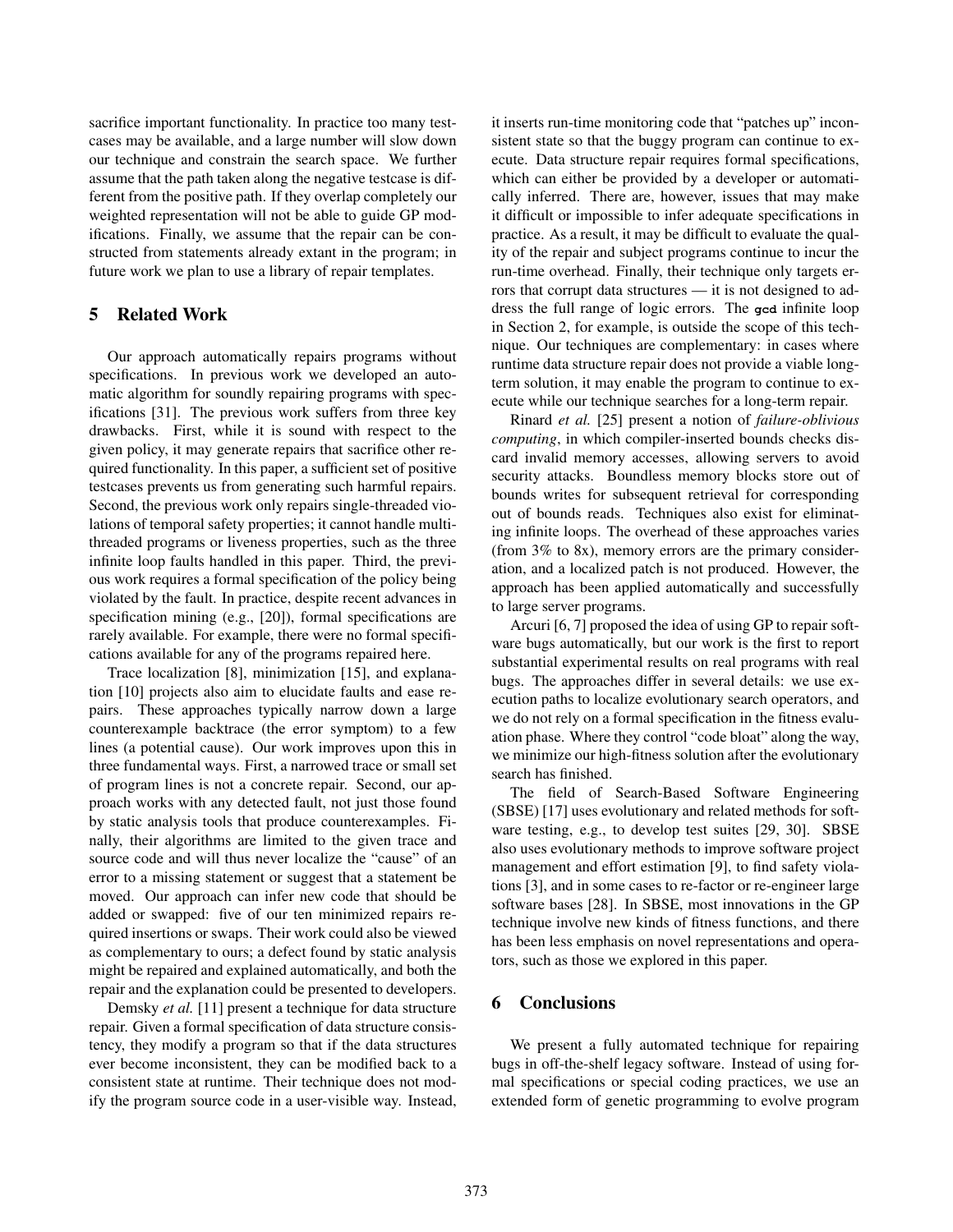sacrifice important functionality. In practice too many testcases may be available, and a large number will slow down our technique and constrain the search space. We further assume that the path taken along the negative testcase is different from the positive path. If they overlap completely our weighted representation will not be able to guide GP modifications. Finally, we assume that the repair can be constructed from statements already extant in the program; in future work we plan to use a library of repair templates.

# 5 Related Work

Our approach automatically repairs programs without specifications. In previous work we developed an automatic algorithm for soundly repairing programs with specifications [31]. The previous work suffers from three key drawbacks. First, while it is sound with respect to the given policy, it may generate repairs that sacrifice other required functionality. In this paper, a sufficient set of positive testcases prevents us from generating such harmful repairs. Second, the previous work only repairs single-threaded violations of temporal safety properties; it cannot handle multithreaded programs or liveness properties, such as the three infinite loop faults handled in this paper. Third, the previous work requires a formal specification of the policy being violated by the fault. In practice, despite recent advances in specification mining (e.g., [20]), formal specifications are rarely available. For example, there were no formal specifications available for any of the programs repaired here.

Trace localization [8], minimization [15], and explanation [10] projects also aim to elucidate faults and ease repairs. These approaches typically narrow down a large counterexample backtrace (the error symptom) to a few lines (a potential cause). Our work improves upon this in three fundamental ways. First, a narrowed trace or small set of program lines is not a concrete repair. Second, our approach works with any detected fault, not just those found by static analysis tools that produce counterexamples. Finally, their algorithms are limited to the given trace and source code and will thus never localize the "cause" of an error to a missing statement or suggest that a statement be moved. Our approach can infer new code that should be added or swapped: five of our ten minimized repairs required insertions or swaps. Their work could also be viewed as complementary to ours; a defect found by static analysis might be repaired and explained automatically, and both the repair and the explanation could be presented to developers.

Demsky *et al.* [11] present a technique for data structure repair. Given a formal specification of data structure consistency, they modify a program so that if the data structures ever become inconsistent, they can be modified back to a consistent state at runtime. Their technique does not modify the program source code in a user-visible way. Instead, it inserts run-time monitoring code that "patches up" inconsistent state so that the buggy program can continue to execute. Data structure repair requires formal specifications, which can either be provided by a developer or automatically inferred. There are, however, issues that may make it difficult or impossible to infer adequate specifications in practice. As a result, it may be difficult to evaluate the quality of the repair and subject programs continue to incur the run-time overhead. Finally, their technique only targets errors that corrupt data structures — it is not designed to address the full range of logic errors. The **gcd** infinite loop in Section 2, for example, is outside the scope of this technique. Our techniques are complementary: in cases where runtime data structure repair does not provide a viable longterm solution, it may enable the program to continue to execute while our technique searches for a long-term repair.

Rinard *et al.* [25] present a notion of *failure-oblivious computing*, in which compiler-inserted bounds checks discard invalid memory accesses, allowing servers to avoid security attacks. Boundless memory blocks store out of bounds writes for subsequent retrieval for corresponding out of bounds reads. Techniques also exist for eliminating infinite loops. The overhead of these approaches varies (from  $3\%$  to  $8x$ ), memory errors are the primary consideration, and a localized patch is not produced. However, the approach has been applied automatically and successfully to large server programs.

Arcuri [6, 7] proposed the idea of using GP to repair software bugs automatically, but our work is the first to report substantial experimental results on real programs with real bugs. The approaches differ in several details: we use execution paths to localize evolutionary search operators, and we do not rely on a formal specification in the fitness evaluation phase. Where they control "code bloat" along the way, we minimize our high-fitness solution after the evolutionary search has finished.

The field of Search-Based Software Engineering (SBSE) [17] uses evolutionary and related methods for software testing, e.g., to develop test suites [29, 30]. SBSE also uses evolutionary methods to improve software project management and effort estimation [9], to find safety violations [3], and in some cases to re-factor or re-engineer large software bases [28]. In SBSE, most innovations in the GP technique involve new kinds of fitness functions, and there has been less emphasis on novel representations and operators, such as those we explored in this paper.

# 6 Conclusions

We present a fully automated technique for repairing bugs in off-the-shelf legacy software. Instead of using formal specifications or special coding practices, we use an extended form of genetic programming to evolve program